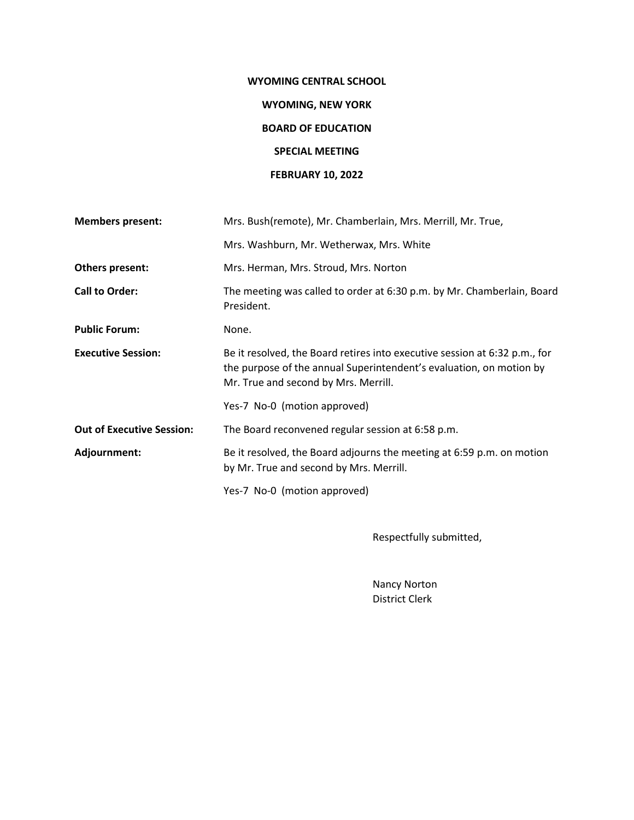# **WYOMING CENTRAL SCHOOL**

# **WYOMING, NEW YORK**

## **BOARD OF EDUCATION**

# **SPECIAL MEETING**

# **FEBRUARY 10, 2022**

| <b>Members present:</b>          | Mrs. Bush(remote), Mr. Chamberlain, Mrs. Merrill, Mr. True,                                                                                                                               |  |  |
|----------------------------------|-------------------------------------------------------------------------------------------------------------------------------------------------------------------------------------------|--|--|
|                                  | Mrs. Washburn, Mr. Wetherwax, Mrs. White                                                                                                                                                  |  |  |
| Others present:                  | Mrs. Herman, Mrs. Stroud, Mrs. Norton                                                                                                                                                     |  |  |
| <b>Call to Order:</b>            | The meeting was called to order at 6:30 p.m. by Mr. Chamberlain, Board<br>President.                                                                                                      |  |  |
| <b>Public Forum:</b>             | None.                                                                                                                                                                                     |  |  |
| <b>Executive Session:</b>        | Be it resolved, the Board retires into executive session at 6:32 p.m., for<br>the purpose of the annual Superintendent's evaluation, on motion by<br>Mr. True and second by Mrs. Merrill. |  |  |
|                                  | Yes-7 No-0 (motion approved)                                                                                                                                                              |  |  |
| <b>Out of Executive Session:</b> | The Board reconvened regular session at 6:58 p.m.                                                                                                                                         |  |  |
| Adjournment:                     | Be it resolved, the Board adjourns the meeting at 6:59 p.m. on motion<br>by Mr. True and second by Mrs. Merrill.                                                                          |  |  |
|                                  | Yes-7 No-0 (motion approved)                                                                                                                                                              |  |  |

Respectfully submitted,

Nancy Norton District Clerk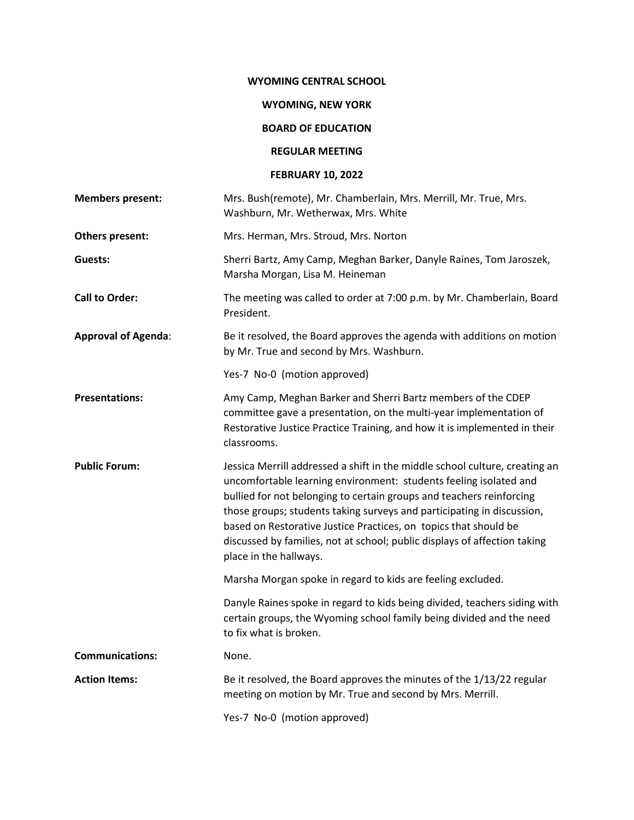#### **WYOMING CENTRAL SCHOOL**

## **WYOMING, NEW YORK**

# **BOARD OF EDUCATION**

#### **REGULAR MEETING**

## **FEBRUARY 10, 2022**

| <b>Members present:</b>    | Mrs. Bush(remote), Mr. Chamberlain, Mrs. Merrill, Mr. True, Mrs.<br>Washburn, Mr. Wetherwax, Mrs. White                                                                                                                                                                                                                                                                                                                                                                       |  |
|----------------------------|-------------------------------------------------------------------------------------------------------------------------------------------------------------------------------------------------------------------------------------------------------------------------------------------------------------------------------------------------------------------------------------------------------------------------------------------------------------------------------|--|
| Others present:            | Mrs. Herman, Mrs. Stroud, Mrs. Norton                                                                                                                                                                                                                                                                                                                                                                                                                                         |  |
| Guests:                    | Sherri Bartz, Amy Camp, Meghan Barker, Danyle Raines, Tom Jaroszek,<br>Marsha Morgan, Lisa M. Heineman                                                                                                                                                                                                                                                                                                                                                                        |  |
| <b>Call to Order:</b>      | The meeting was called to order at 7:00 p.m. by Mr. Chamberlain, Board<br>President.                                                                                                                                                                                                                                                                                                                                                                                          |  |
| <b>Approval of Agenda:</b> | Be it resolved, the Board approves the agenda with additions on motion<br>by Mr. True and second by Mrs. Washburn.                                                                                                                                                                                                                                                                                                                                                            |  |
|                            | Yes-7 No-0 (motion approved)                                                                                                                                                                                                                                                                                                                                                                                                                                                  |  |
| <b>Presentations:</b>      | Amy Camp, Meghan Barker and Sherri Bartz members of the CDEP<br>committee gave a presentation, on the multi-year implementation of<br>Restorative Justice Practice Training, and how it is implemented in their<br>classrooms.                                                                                                                                                                                                                                                |  |
| <b>Public Forum:</b>       | Jessica Merrill addressed a shift in the middle school culture, creating an<br>uncomfortable learning environment: students feeling isolated and<br>bullied for not belonging to certain groups and teachers reinforcing<br>those groups; students taking surveys and participating in discussion,<br>based on Restorative Justice Practices, on topics that should be<br>discussed by families, not at school; public displays of affection taking<br>place in the hallways. |  |
|                            | Marsha Morgan spoke in regard to kids are feeling excluded.                                                                                                                                                                                                                                                                                                                                                                                                                   |  |
|                            | Danyle Raines spoke in regard to kids being divided, teachers siding with<br>certain groups, the Wyoming school family being divided and the need<br>to fix what is broken.                                                                                                                                                                                                                                                                                                   |  |
| <b>Communications:</b>     | None.                                                                                                                                                                                                                                                                                                                                                                                                                                                                         |  |
| <b>Action Items:</b>       | Be it resolved, the Board approves the minutes of the 1/13/22 regular<br>meeting on motion by Mr. True and second by Mrs. Merrill.                                                                                                                                                                                                                                                                                                                                            |  |
|                            | Yes-7 No-0 (motion approved)                                                                                                                                                                                                                                                                                                                                                                                                                                                  |  |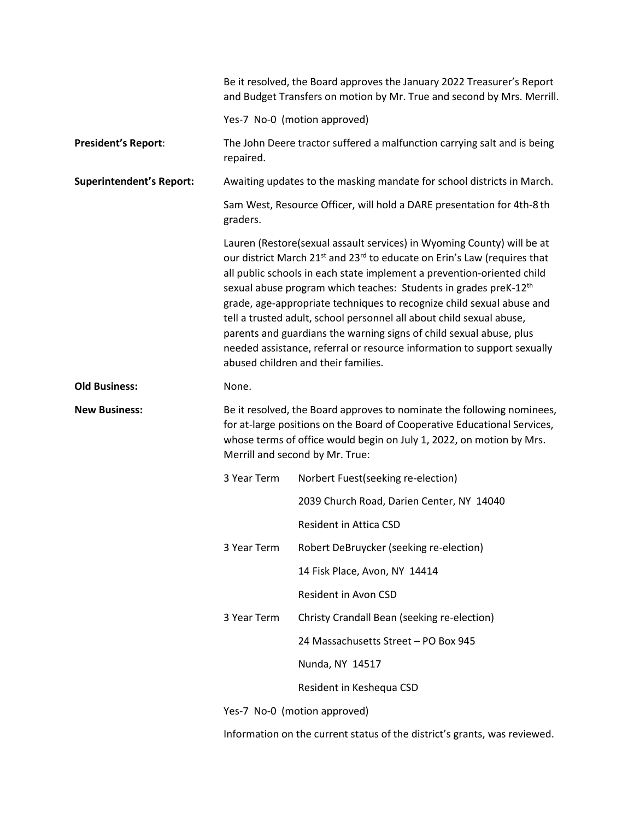|                                 | Be it resolved, the Board approves the January 2022 Treasurer's Report<br>and Budget Transfers on motion by Mr. True and second by Mrs. Merrill.                                                                                                                                                                                                                                                                                                                                                                                                                                                                                                                               |                                                                                                                                                    |  |
|---------------------------------|--------------------------------------------------------------------------------------------------------------------------------------------------------------------------------------------------------------------------------------------------------------------------------------------------------------------------------------------------------------------------------------------------------------------------------------------------------------------------------------------------------------------------------------------------------------------------------------------------------------------------------------------------------------------------------|----------------------------------------------------------------------------------------------------------------------------------------------------|--|
|                                 | Yes-7 No-0 (motion approved)                                                                                                                                                                                                                                                                                                                                                                                                                                                                                                                                                                                                                                                   |                                                                                                                                                    |  |
| <b>President's Report:</b>      | repaired.                                                                                                                                                                                                                                                                                                                                                                                                                                                                                                                                                                                                                                                                      | The John Deere tractor suffered a malfunction carrying salt and is being                                                                           |  |
| <b>Superintendent's Report:</b> | Awaiting updates to the masking mandate for school districts in March.                                                                                                                                                                                                                                                                                                                                                                                                                                                                                                                                                                                                         |                                                                                                                                                    |  |
|                                 | Sam West, Resource Officer, will hold a DARE presentation for 4th-8 th<br>graders.                                                                                                                                                                                                                                                                                                                                                                                                                                                                                                                                                                                             |                                                                                                                                                    |  |
|                                 | Lauren (Restore(sexual assault services) in Wyoming County) will be at<br>our district March 21 <sup>st</sup> and 23 <sup>rd</sup> to educate on Erin's Law (requires that<br>all public schools in each state implement a prevention-oriented child<br>sexual abuse program which teaches: Students in grades preK-12 <sup>th</sup><br>grade, age-appropriate techniques to recognize child sexual abuse and<br>tell a trusted adult, school personnel all about child sexual abuse,<br>parents and guardians the warning signs of child sexual abuse, plus<br>needed assistance, referral or resource information to support sexually<br>abused children and their families. |                                                                                                                                                    |  |
| <b>Old Business:</b>            | None.                                                                                                                                                                                                                                                                                                                                                                                                                                                                                                                                                                                                                                                                          |                                                                                                                                                    |  |
| <b>New Business:</b>            |                                                                                                                                                                                                                                                                                                                                                                                                                                                                                                                                                                                                                                                                                | Be it resolved, the Board approves to nominate the following nominees,<br>for at-large positions on the Board of Cooperative Educational Services, |  |
|                                 |                                                                                                                                                                                                                                                                                                                                                                                                                                                                                                                                                                                                                                                                                | whose terms of office would begin on July 1, 2022, on motion by Mrs.<br>Merrill and second by Mr. True:                                            |  |
|                                 | 3 Year Term                                                                                                                                                                                                                                                                                                                                                                                                                                                                                                                                                                                                                                                                    | Norbert Fuest(seeking re-election)                                                                                                                 |  |
|                                 |                                                                                                                                                                                                                                                                                                                                                                                                                                                                                                                                                                                                                                                                                | 2039 Church Road, Darien Center, NY 14040                                                                                                          |  |
|                                 |                                                                                                                                                                                                                                                                                                                                                                                                                                                                                                                                                                                                                                                                                | <b>Resident in Attica CSD</b>                                                                                                                      |  |
|                                 | 3 Year Term                                                                                                                                                                                                                                                                                                                                                                                                                                                                                                                                                                                                                                                                    | Robert DeBruycker (seeking re-election)                                                                                                            |  |
|                                 |                                                                                                                                                                                                                                                                                                                                                                                                                                                                                                                                                                                                                                                                                | 14 Fisk Place, Avon, NY 14414                                                                                                                      |  |
|                                 |                                                                                                                                                                                                                                                                                                                                                                                                                                                                                                                                                                                                                                                                                | Resident in Avon CSD                                                                                                                               |  |
|                                 | 3 Year Term                                                                                                                                                                                                                                                                                                                                                                                                                                                                                                                                                                                                                                                                    | Christy Crandall Bean (seeking re-election)                                                                                                        |  |
|                                 |                                                                                                                                                                                                                                                                                                                                                                                                                                                                                                                                                                                                                                                                                | 24 Massachusetts Street - PO Box 945                                                                                                               |  |
|                                 |                                                                                                                                                                                                                                                                                                                                                                                                                                                                                                                                                                                                                                                                                | Nunda, NY 14517                                                                                                                                    |  |
|                                 |                                                                                                                                                                                                                                                                                                                                                                                                                                                                                                                                                                                                                                                                                | Resident in Keshequa CSD                                                                                                                           |  |

Information on the current status of the district's grants, was reviewed.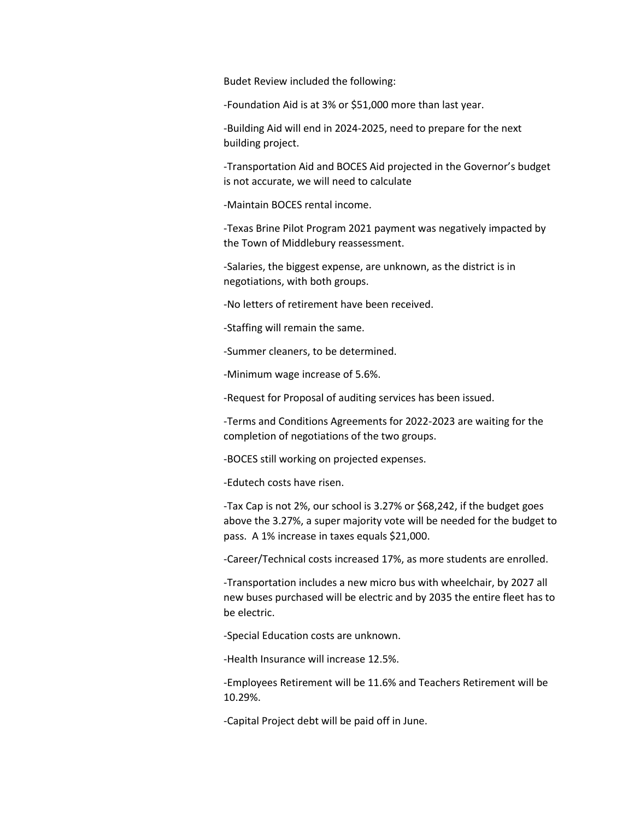Budet Review included the following:

-Foundation Aid is at 3% or \$51,000 more than last year.

-Building Aid will end in 2024-2025, need to prepare for the next building project.

-Transportation Aid and BOCES Aid projected in the Governor's budget is not accurate, we will need to calculate

-Maintain BOCES rental income.

-Texas Brine Pilot Program 2021 payment was negatively impacted by the Town of Middlebury reassessment.

-Salaries, the biggest expense, are unknown, as the district is in negotiations, with both groups.

-No letters of retirement have been received.

-Staffing will remain the same.

-Summer cleaners, to be determined.

-Minimum wage increase of 5.6%.

-Request for Proposal of auditing services has been issued.

-Terms and Conditions Agreements for 2022-2023 are waiting for the completion of negotiations of the two groups.

-BOCES still working on projected expenses.

-Edutech costs have risen.

-Tax Cap is not 2%, our school is 3.27% or \$68,242, if the budget goes above the 3.27%, a super majority vote will be needed for the budget to pass. A 1% increase in taxes equals \$21,000.

-Career/Technical costs increased 17%, as more students are enrolled.

-Transportation includes a new micro bus with wheelchair, by 2027 all new buses purchased will be electric and by 2035 the entire fleet has to be electric.

-Special Education costs are unknown.

-Health Insurance will increase 12.5%.

-Employees Retirement will be 11.6% and Teachers Retirement will be 10.29%.

-Capital Project debt will be paid off in June.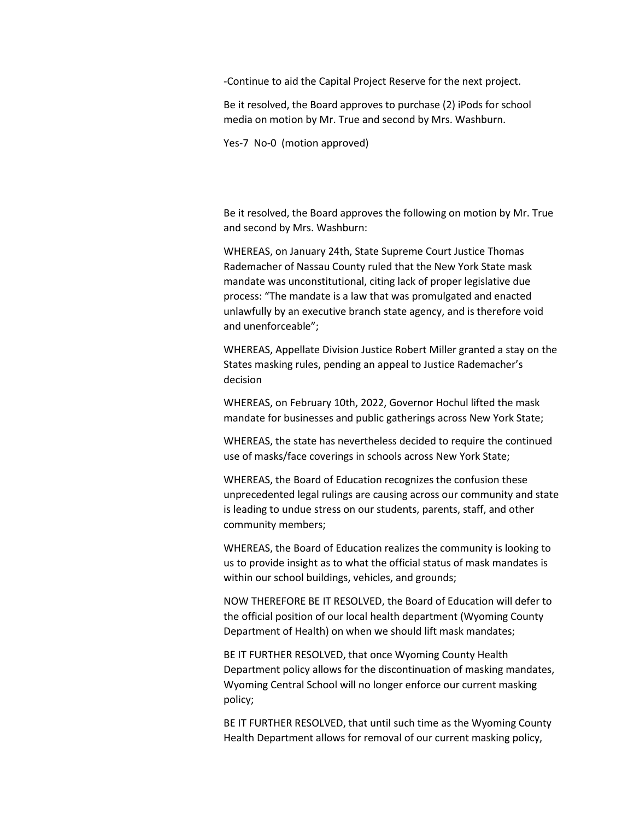-Continue to aid the Capital Project Reserve for the next project.

Be it resolved, the Board approves to purchase (2) iPods for school media on motion by Mr. True and second by Mrs. Washburn.

Yes-7 No-0 (motion approved)

Be it resolved, the Board approves the following on motion by Mr. True and second by Mrs. Washburn:

WHEREAS, on January 24th, State Supreme Court Justice Thomas Rademacher of Nassau County ruled that the New York State mask mandate was unconstitutional, citing lack of proper legislative due process: "The mandate is a law that was promulgated and enacted unlawfully by an executive branch state agency, and is therefore void and unenforceable";

WHEREAS, Appellate Division Justice Robert Miller granted a stay on the States masking rules, pending an appeal to Justice Rademacher's decision

WHEREAS, on February 10th, 2022, Governor Hochul lifted the mask mandate for businesses and public gatherings across New York State;

WHEREAS, the state has nevertheless decided to require the continued use of masks/face coverings in schools across New York State;

WHEREAS, the Board of Education recognizes the confusion these unprecedented legal rulings are causing across our community and state is leading to undue stress on our students, parents, staff, and other community members;

WHEREAS, the Board of Education realizes the community is looking to us to provide insight as to what the official status of mask mandates is within our school buildings, vehicles, and grounds;

NOW THEREFORE BE IT RESOLVED, the Board of Education will defer to the official position of our local health department (Wyoming County Department of Health) on when we should lift mask mandates;

BE IT FURTHER RESOLVED, that once Wyoming County Health Department policy allows for the discontinuation of masking mandates, Wyoming Central School will no longer enforce our current masking policy;

BE IT FURTHER RESOLVED, that until such time as the Wyoming County Health Department allows for removal of our current masking policy,